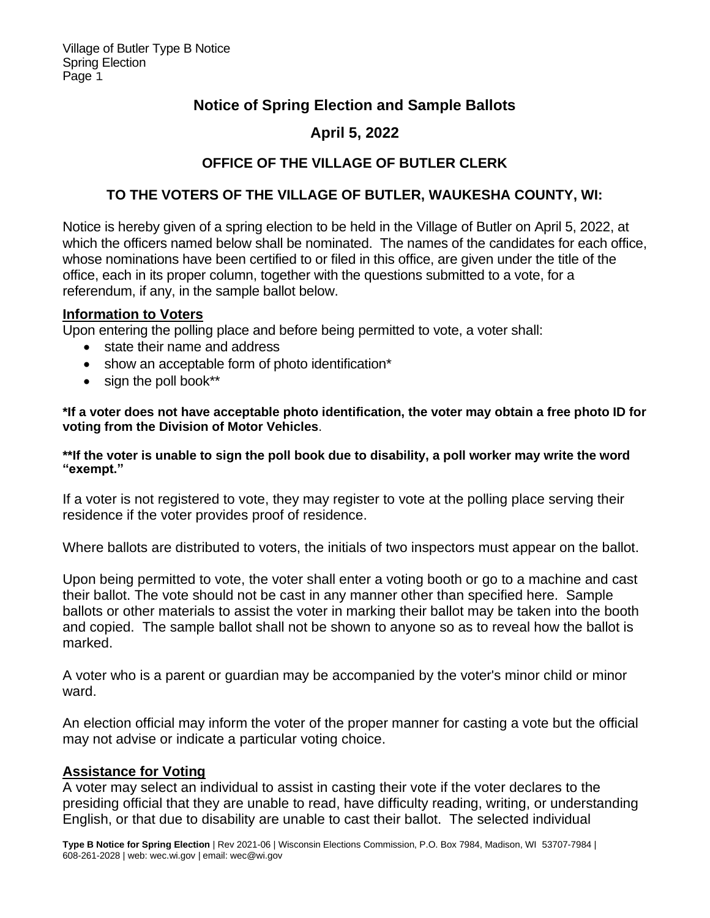## **Notice of Spring Election and Sample Ballots**

# **April 5, 2022**

### **OFFICE OF THE VILLAGE OF BUTLER CLERK**

### **TO THE VOTERS OF THE VILLAGE OF BUTLER, WAUKESHA COUNTY, WI:**

Notice is hereby given of a spring election to be held in the Village of Butler on April 5, 2022, at which the officers named below shall be nominated. The names of the candidates for each office, whose nominations have been certified to or filed in this office, are given under the title of the office, each in its proper column, together with the questions submitted to a vote, for a referendum, if any, in the sample ballot below.

#### **Information to Voters**

Upon entering the polling place and before being permitted to vote, a voter shall:

- state their name and address
- show an acceptable form of photo identification\*
- sign the poll book\*\*

**\*If a voter does not have acceptable photo identification, the voter may obtain a free photo ID for voting from the Division of Motor Vehicles**.

**\*\*If the voter is unable to sign the poll book due to disability, a poll worker may write the word "exempt."**

If a voter is not registered to vote, they may register to vote at the polling place serving their residence if the voter provides proof of residence.

Where ballots are distributed to voters, the initials of two inspectors must appear on the ballot.

Upon being permitted to vote, the voter shall enter a voting booth or go to a machine and cast their ballot. The vote should not be cast in any manner other than specified here. Sample ballots or other materials to assist the voter in marking their ballot may be taken into the booth and copied. The sample ballot shall not be shown to anyone so as to reveal how the ballot is marked.

A voter who is a parent or guardian may be accompanied by the voter's minor child or minor ward.

An election official may inform the voter of the proper manner for casting a vote but the official may not advise or indicate a particular voting choice.

#### **Assistance for Voting**

A voter may select an individual to assist in casting their vote if the voter declares to the presiding official that they are unable to read, have difficulty reading, writing, or understanding English, or that due to disability are unable to cast their ballot. The selected individual